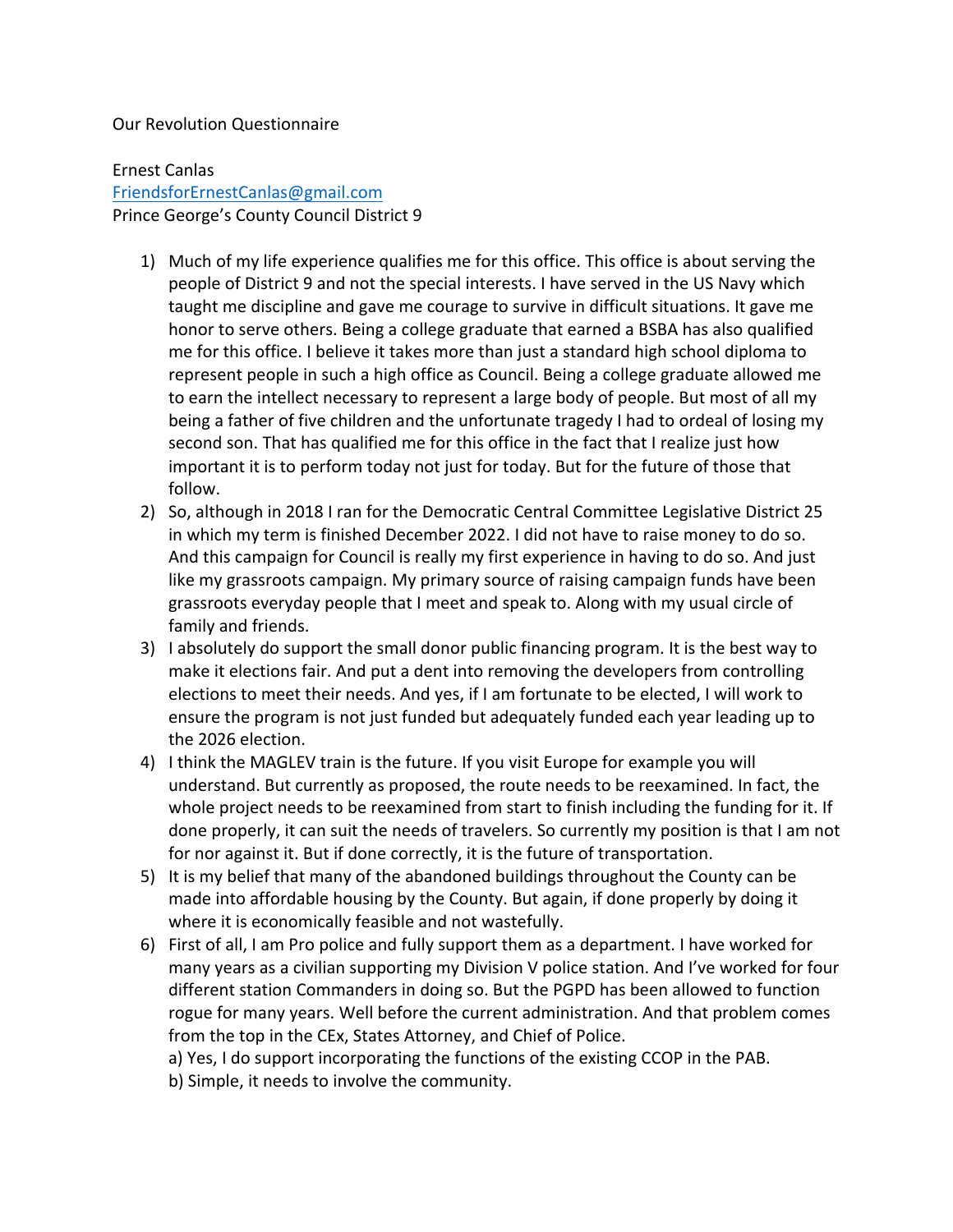## Our Revolution Questionnaire

Ernest Canlas FriendsforErnestCanlas@gmail.com Prince George's County Council District 9

- 1) Much of my life experience qualifies me for this office. This office is about serving the people of District 9 and not the special interests. I have served in the US Navy which taught me discipline and gave me courage to survive in difficult situations. It gave me honor to serve others. Being a college graduate that earned a BSBA has also qualified me for this office. I believe it takes more than just a standard high school diploma to represent people in such a high office as Council. Being a college graduate allowed me to earn the intellect necessary to represent a large body of people. But most of all my being a father of five children and the unfortunate tragedy I had to ordeal of losing my second son. That has qualified me for this office in the fact that I realize just how important it is to perform today not just for today. But for the future of those that follow.
- 2) So, although in 2018 I ran for the Democratic Central Committee Legislative District 25 in which my term is finished December 2022. I did not have to raise money to do so. And this campaign for Council is really my first experience in having to do so. And just like my grassroots campaign. My primary source of raising campaign funds have been grassroots everyday people that I meet and speak to. Along with my usual circle of family and friends.
- 3) I absolutely do support the small donor public financing program. It is the best way to make it elections fair. And put a dent into removing the developers from controlling elections to meet their needs. And yes, if I am fortunate to be elected, I will work to ensure the program is not just funded but adequately funded each year leading up to the 2026 election.
- 4) I think the MAGLEV train is the future. If you visit Europe for example you will understand. But currently as proposed, the route needs to be reexamined. In fact, the whole project needs to be reexamined from start to finish including the funding for it. If done properly, it can suit the needs of travelers. So currently my position is that I am not for nor against it. But if done correctly, it is the future of transportation.
- 5) It is my belief that many of the abandoned buildings throughout the County can be made into affordable housing by the County. But again, if done properly by doing it where it is economically feasible and not wastefully.
- 6) First of all, I am Pro police and fully support them as a department. I have worked for many years as a civilian supporting my Division V police station. And I've worked for four different station Commanders in doing so. But the PGPD has been allowed to function rogue for many years. Well before the current administration. And that problem comes from the top in the CEx, States Attorney, and Chief of Police.

a) Yes, I do support incorporating the functions of the existing CCOP in the PAB.

b) Simple, it needs to involve the community.